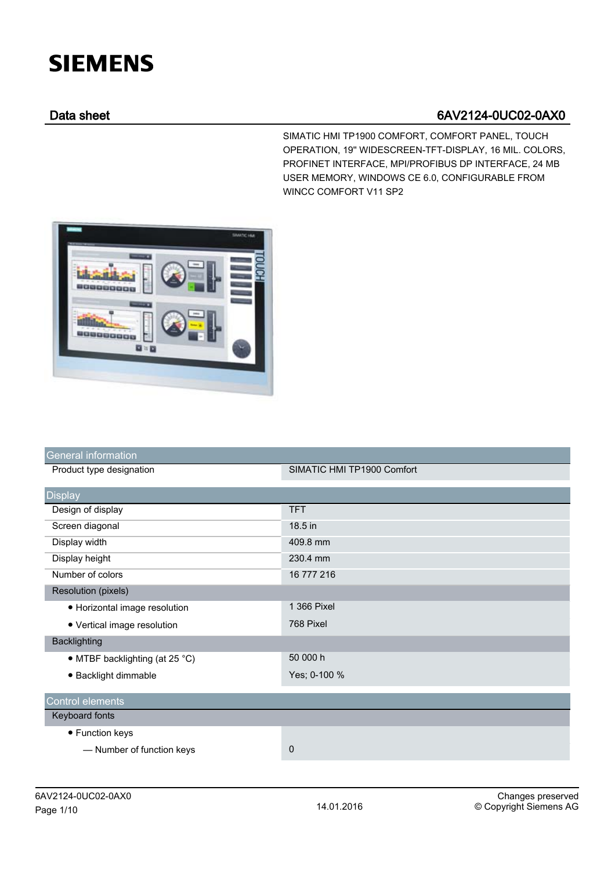## **SIEMENS**

## Data sheet 6AV2124-0UC02-0AX0

SIMATIC HMI TP1900 COMFORT, COMFORT PANEL, TOUCH OPERATION, 19'' WIDESCREEN-TFT-DISPLAY, 16 MIL. COLORS, PROFINET INTERFACE, MPI/PROFIBUS DP INTERFACE, 24 MB USER MEMORY, WINDOWS CE 6.0, CONFIGURABLE FROM WINCC COMFORT V11 SP2



| <b>General information</b>     |                            |
|--------------------------------|----------------------------|
| Product type designation       | SIMATIC HMI TP1900 Comfort |
| <b>Display</b>                 |                            |
| Design of display              | <b>TFT</b>                 |
| Screen diagonal                | 18.5 in                    |
| Display width                  | 409.8 mm                   |
| Display height                 | 230.4 mm                   |
| Number of colors               | 16 777 216                 |
| <b>Resolution (pixels)</b>     |                            |
| • Horizontal image resolution  | 1 366 Pixel                |
| • Vertical image resolution    | 768 Pixel                  |
| <b>Backlighting</b>            |                            |
| • MTBF backlighting (at 25 °C) | 50 000 h                   |
| · Backlight dimmable           | Yes; 0-100 %               |
| Control elements               |                            |
| Keyboard fonts                 |                            |
| • Function keys                |                            |
| - Number of function keys      | 0                          |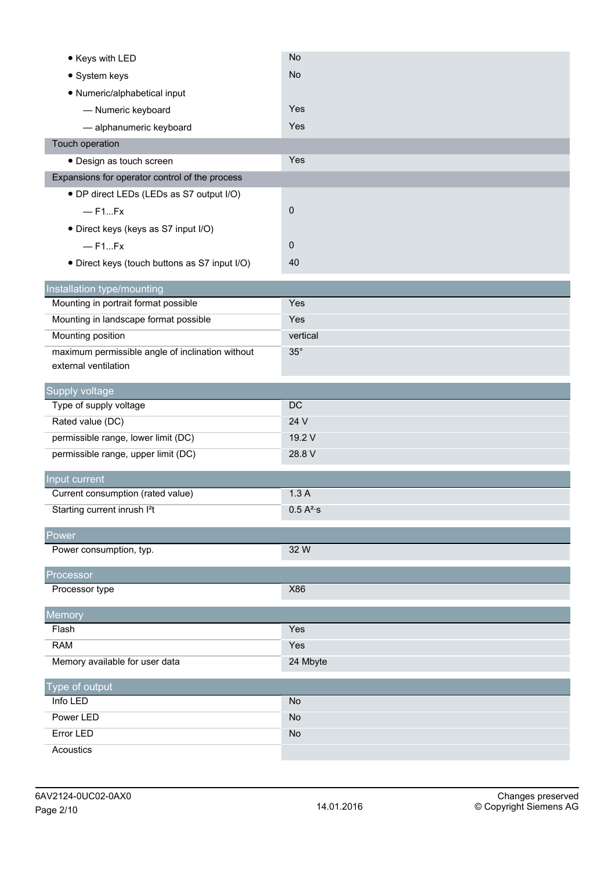| • Keys with LED                                                    | No                    |
|--------------------------------------------------------------------|-----------------------|
| • System keys                                                      | <b>No</b>             |
| · Numeric/alphabetical input                                       |                       |
| - Numeric keyboard                                                 | Yes                   |
| - alphanumeric keyboard                                            | Yes                   |
| Touch operation                                                    |                       |
| · Design as touch screen                                           | Yes                   |
| Expansions for operator control of the process                     |                       |
| • DP direct LEDs (LEDs as S7 output I/O)                           |                       |
| $-$ F1Fx                                                           | 0                     |
| · Direct keys (keys as S7 input I/O)                               |                       |
| $-$ F1Fx                                                           | 0                     |
| • Direct keys (touch buttons as S7 input I/O)                      | 40                    |
|                                                                    |                       |
| Installation type/mounting<br>Mounting in portrait format possible | Yes                   |
| Mounting in landscape format possible                              | Yes                   |
| Mounting position                                                  | vertical              |
| maximum permissible angle of inclination without                   | $35^\circ$            |
| external ventilation                                               |                       |
|                                                                    |                       |
| Supply voltage                                                     |                       |
|                                                                    |                       |
| Type of supply voltage                                             | DC                    |
| Rated value (DC)                                                   | 24 V                  |
| permissible range, lower limit (DC)                                | 19.2 V<br>28.8 V      |
| permissible range, upper limit (DC)                                |                       |
| Input current                                                      |                       |
| Current consumption (rated value)                                  | 1.3A                  |
| Starting current inrush I <sup>2</sup> t                           | 0.5 A <sup>2</sup> ·s |
| Power                                                              |                       |
| Power consumption, typ.                                            | 32 W                  |
|                                                                    |                       |
| Processor<br>Processor type                                        | X86                   |
|                                                                    |                       |
| Memory                                                             |                       |
| Flash                                                              | Yes                   |
| <b>RAM</b>                                                         | Yes                   |
| Memory available for user data                                     | 24 Mbyte              |
| Type of output                                                     |                       |
| Info LED                                                           | <b>No</b>             |
| Power LED                                                          | No                    |
| Error LED<br>Acoustics                                             | <b>No</b>             |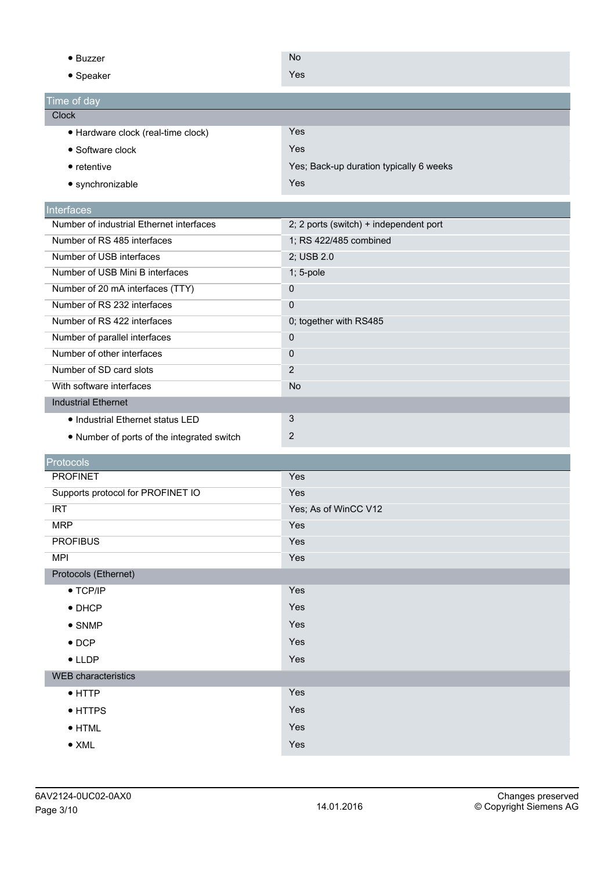| $\bullet$ Buzzer                           | <b>No</b>                               |
|--------------------------------------------|-----------------------------------------|
| • Speaker                                  | Yes                                     |
|                                            |                                         |
| Time of day                                |                                         |
| <b>Clock</b>                               |                                         |
| · Hardware clock (real-time clock)         | Yes                                     |
| • Software clock                           | Yes                                     |
| $\bullet$ retentive                        | Yes; Back-up duration typically 6 weeks |
| • synchronizable                           | Yes                                     |
| Interfaces                                 |                                         |
| Number of industrial Ethernet interfaces   | 2; 2 ports (switch) + independent port  |
| Number of RS 485 interfaces                | 1; RS 422/485 combined                  |
| Number of USB interfaces                   | 2; USB 2.0                              |
| Number of USB Mini B interfaces            | $1; 5$ -pole                            |
| Number of 20 mA interfaces (TTY)           | $\pmb{0}$                               |
| Number of RS 232 interfaces                | $\mathbf 0$                             |
| Number of RS 422 interfaces                | 0; together with RS485                  |
| Number of parallel interfaces              | $\pmb{0}$                               |
| Number of other interfaces                 | $\pmb{0}$                               |
| Number of SD card slots                    | $\overline{2}$                          |
| With software interfaces                   | <b>No</b>                               |
| <b>Industrial Ethernet</b>                 |                                         |
| • Industrial Ethernet status LED           | $\mathfrak{S}$                          |
| • Number of ports of the integrated switch | $\overline{2}$                          |
| Protocols                                  |                                         |
| <b>PROFINET</b>                            | Yes                                     |
| Supports protocol for PROFINET IO          | Yes                                     |
| <b>IRT</b>                                 | Yes; As of WinCC V12                    |
| <b>MRP</b>                                 | Yes                                     |
| <b>PROFIBUS</b>                            | Yes                                     |
| <b>MPI</b>                                 | Yes                                     |
| Protocols (Ethernet)                       |                                         |
| $\bullet$ TCP/IP                           | Yes                                     |
| $\bullet$ DHCP                             | Yes                                     |
| $\bullet$ SNMP                             | Yes                                     |
| $\bullet$ DCP                              | Yes                                     |
| $\bullet$ LLDP                             | Yes                                     |
| <b>WEB</b> characteristics                 |                                         |
|                                            | Yes                                     |
| $\bullet$ HTTP                             |                                         |
| • HTTPS                                    | Yes                                     |
| $\bullet$ HTML                             | Yes                                     |
| $\bullet$ XML                              | Yes                                     |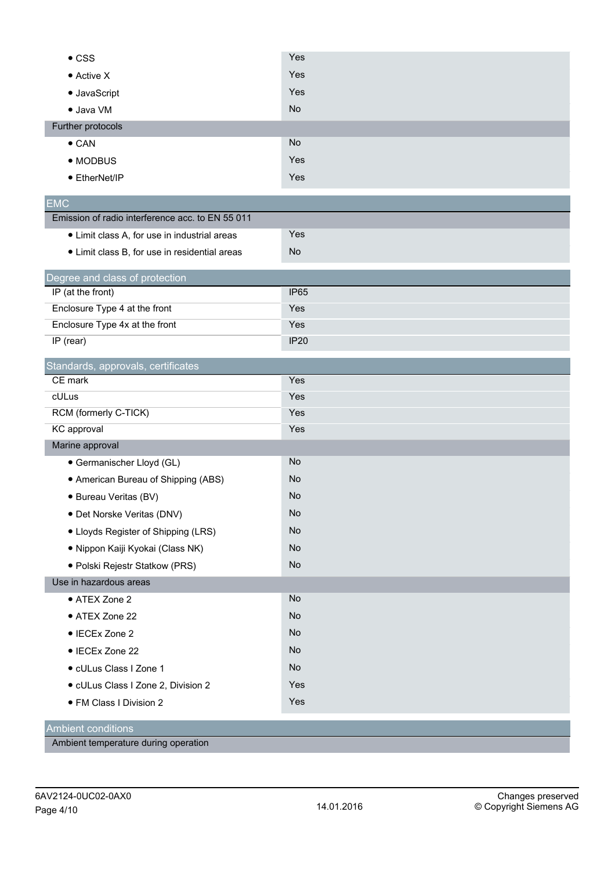| $\bullet$ CSS                                    | Yes              |
|--------------------------------------------------|------------------|
| • Active X                                       | Yes              |
| • JavaScript                                     | Yes              |
| · Java VM                                        | <b>No</b>        |
| Further protocols                                |                  |
| $\bullet$ CAN                                    | <b>No</b>        |
| • MODBUS                                         | Yes              |
| ● EtherNet/IP                                    | Yes              |
| <b>EMC</b>                                       |                  |
| Emission of radio interference acc. to EN 55 011 |                  |
| • Limit class A, for use in industrial areas     | Yes              |
| • Limit class B, for use in residential areas    | No               |
| Degree and class of protection                   |                  |
| IP (at the front)                                | IP <sub>65</sub> |
| Enclosure Type 4 at the front                    | Yes              |
| Enclosure Type 4x at the front                   | Yes              |
| IP (rear)                                        | <b>IP20</b>      |
| Standards, approvals, certificates               |                  |
| CE mark                                          | Yes              |
| cULus                                            | Yes              |
| RCM (formerly C-TICK)                            | Yes              |
| KC approval                                      | Yes              |
| Marine approval                                  |                  |
| • Germanischer Lloyd (GL)                        | No               |
| • American Bureau of Shipping (ABS)              | <b>No</b>        |
| · Bureau Veritas (BV)                            | <b>No</b>        |
| · Det Norske Veritas (DNV)                       | No               |
| • Lloyds Register of Shipping (LRS)              | <b>No</b>        |
| · Nippon Kaiji Kyokai (Class NK)                 | No               |
| · Polski Rejestr Statkow (PRS)                   | No               |
| Use in hazardous areas                           |                  |
| • ATEX Zone 2                                    | No               |
| • ATEX Zone 22                                   | No               |
| • IECEx Zone 2                                   | No               |
| • IECEx Zone 22                                  | No               |
| · cULus Class I Zone 1                           | No               |
| · cULus Class I Zone 2, Division 2               | Yes              |
| · FM Class I Division 2                          | Yes              |
| <b>Ambient conditions</b>                        |                  |

Ambient temperature during operation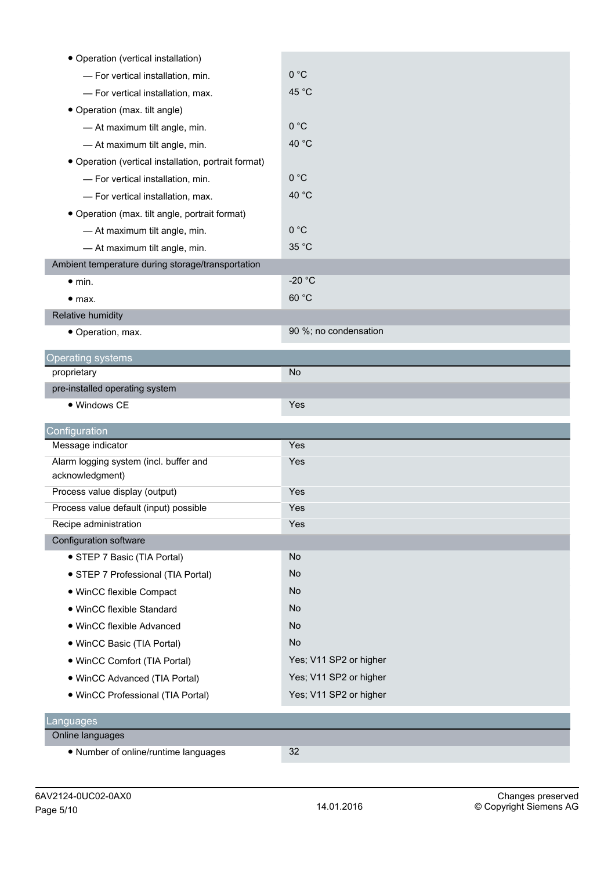| • Operation (vertical installation)                       |                        |
|-----------------------------------------------------------|------------------------|
| - For vertical installation, min.                         | 0 °C                   |
| - For vertical installation, max.                         | 45 °C                  |
| • Operation (max. tilt angle)                             |                        |
| - At maximum tilt angle, min.                             | 0 °C                   |
| - At maximum tilt angle, min.                             | 40 °C                  |
| • Operation (vertical installation, portrait format)      |                        |
| - For vertical installation, min.                         | 0 °C                   |
| - For vertical installation, max.                         | 40 °C                  |
| • Operation (max. tilt angle, portrait format)            |                        |
| - At maximum tilt angle, min.                             | 0 °C                   |
| - At maximum tilt angle, min.                             | 35 °C                  |
| Ambient temperature during storage/transportation         |                        |
| $\bullet$ min.                                            | $-20 °C$               |
| • <sub>max.</sub>                                         | 60 °C                  |
| Relative humidity                                         |                        |
| • Operation, max.                                         | 90 %; no condensation  |
| <b>Operating systems</b>                                  |                        |
| proprietary                                               | No                     |
| pre-installed operating system                            |                        |
| • Windows CE                                              | Yes                    |
|                                                           |                        |
| Configuration                                             |                        |
| Message indicator                                         | Yes                    |
| Alarm logging system (incl. buffer and<br>acknowledgment) | Yes                    |
| Process value display (output)                            | Yes                    |
| Process value default (input) possible                    | Yes                    |
| Recipe administration                                     | Yes                    |
| Configuration software                                    |                        |
| • STEP 7 Basic (TIA Portal)                               | No                     |
| • STEP 7 Professional (TIA Portal)                        | No                     |
| • WinCC flexible Compact                                  | <b>No</b>              |
| • WinCC flexible Standard                                 | No                     |
| · WinCC flexible Advanced                                 | <b>No</b>              |
| • WinCC Basic (TIA Portal)                                | <b>No</b>              |
| • WinCC Comfort (TIA Portal)                              | Yes; V11 SP2 or higher |
| • WinCC Advanced (TIA Portal)                             | Yes; V11 SP2 or higher |
| · WinCC Professional (TIA Portal)                         | Yes; V11 SP2 or higher |
|                                                           |                        |
| Languages<br>Online languages                             |                        |
|                                                           |                        |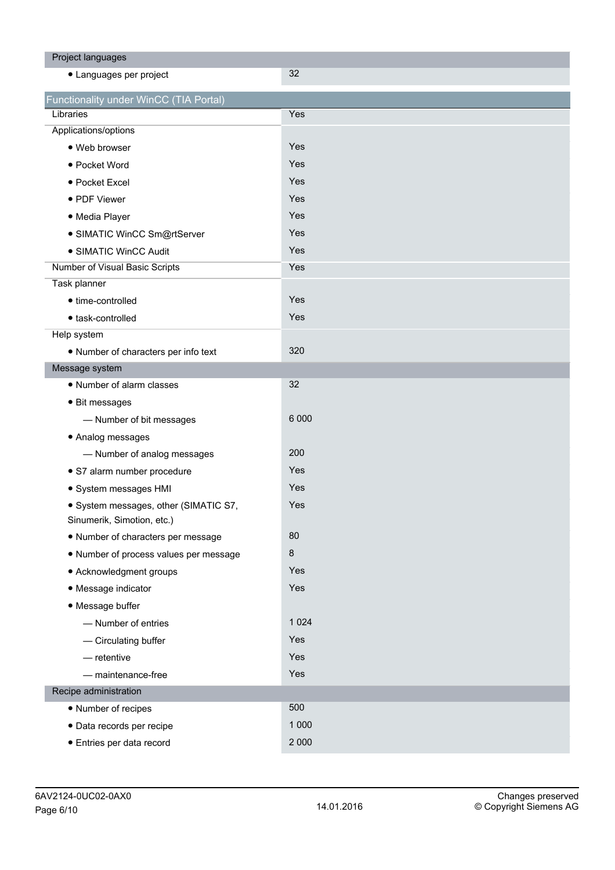| Project languages                                                   |         |
|---------------------------------------------------------------------|---------|
| • Languages per project                                             | 32      |
| Functionality under WinCC (TIA Portal)                              |         |
| Libraries                                                           | Yes     |
| Applications/options                                                |         |
| · Web browser                                                       | Yes     |
| • Pocket Word                                                       | Yes     |
| • Pocket Excel                                                      | Yes     |
| • PDF Viewer                                                        | Yes     |
| • Media Player                                                      | Yes     |
| · SIMATIC WinCC Sm@rtServer                                         | Yes     |
| • SIMATIC WinCC Audit                                               | Yes     |
| Number of Visual Basic Scripts                                      | Yes     |
| Task planner                                                        |         |
| • time-controlled                                                   | Yes     |
| • task-controlled                                                   | Yes     |
| Help system                                                         |         |
| · Number of characters per info text                                | 320     |
| Message system                                                      |         |
| • Number of alarm classes                                           | 32      |
| • Bit messages                                                      |         |
| - Number of bit messages                                            | 6 0 0 0 |
| • Analog messages                                                   |         |
| - Number of analog messages                                         | 200     |
| · S7 alarm number procedure                                         | Yes     |
| · System messages HMI                                               | Yes     |
| · System messages, other (SIMATIC S7,<br>Sinumerik, Simotion, etc.) | Yes     |
| • Number of characters per message                                  | 80      |
| . Number of process values per message                              | $\bf 8$ |
| • Acknowledgment groups                                             | Yes     |
| • Message indicator                                                 | Yes     |
| • Message buffer                                                    |         |
| - Number of entries                                                 | 1 0 2 4 |
| - Circulating buffer                                                | Yes     |
| $-$ retentive                                                       | Yes     |
| - maintenance-free                                                  | Yes     |
| Recipe administration                                               |         |
| • Number of recipes                                                 | 500     |
| · Data records per recipe                                           | 1 0 0 0 |
| · Entries per data record                                           | 2 0 0 0 |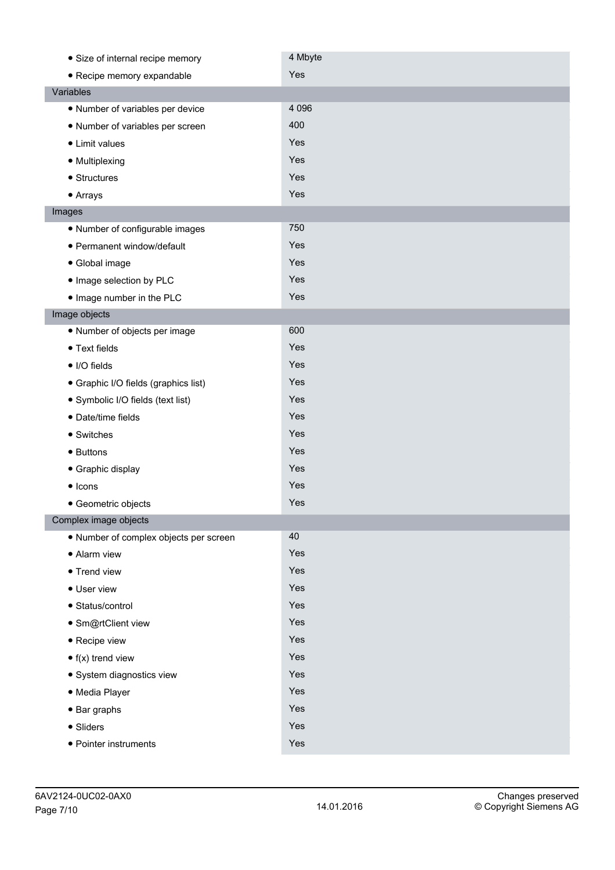| • Size of internal recipe memory       | 4 Mbyte |
|----------------------------------------|---------|
| • Recipe memory expandable             | Yes     |
| Variables                              |         |
| • Number of variables per device       | 4 0 9 6 |
| • Number of variables per screen       | 400     |
| • Limit values                         | Yes     |
| • Multiplexing                         | Yes     |
| • Structures                           | Yes     |
| • Arrays                               | Yes     |
| Images                                 |         |
| • Number of configurable images        | 750     |
| • Permanent window/default             | Yes     |
| • Global image                         | Yes     |
| · Image selection by PLC               | Yes     |
| . Image number in the PLC              | Yes     |
| Image objects                          |         |
| • Number of objects per image          | 600     |
| • Text fields                          | Yes     |
| • I/O fields                           | Yes     |
| • Graphic I/O fields (graphics list)   | Yes     |
| · Symbolic I/O fields (text list)      | Yes     |
| · Date/time fields                     | Yes     |
| • Switches                             | Yes     |
| • Buttons                              | Yes     |
| • Graphic display                      | Yes     |
| $\bullet$ Icons                        | Yes     |
| • Geometric objects                    | Yes     |
| Complex image objects                  |         |
| · Number of complex objects per screen | 40      |
| • Alarm view                           | Yes     |
| • Trend view                           | Yes     |
| • User view                            | Yes     |
| • Status/control                       | Yes     |
| · Sm@rtClient view                     | Yes     |
| • Recipe view                          | Yes     |
| $\bullet$ f(x) trend view              | Yes     |
| · System diagnostics view              | Yes     |
| · Media Player                         | Yes     |
| $\bullet$ Bar graphs                   | Yes     |
| • Sliders                              | Yes     |
| • Pointer instruments                  | Yes     |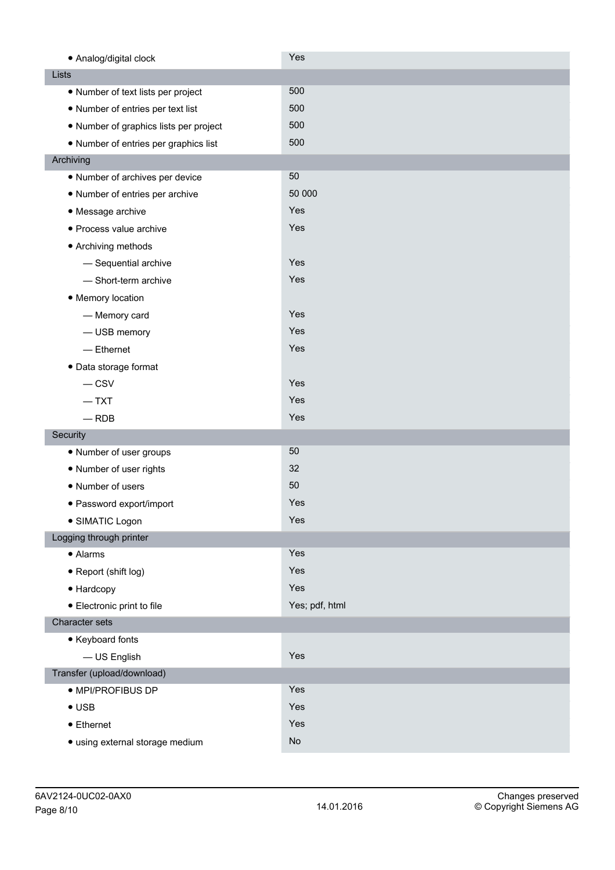| • Analog/digital clock                 | Yes            |
|----------------------------------------|----------------|
| Lists                                  |                |
| • Number of text lists per project     | 500            |
| • Number of entries per text list      | 500            |
| • Number of graphics lists per project | 500            |
| • Number of entries per graphics list  | 500            |
| Archiving                              |                |
| • Number of archives per device        | 50             |
| • Number of entries per archive        | 50 000         |
| • Message archive                      | Yes            |
| · Process value archive                | Yes            |
| • Archiving methods                    |                |
| - Sequential archive                   | Yes            |
| - Short-term archive                   | Yes            |
| • Memory location                      |                |
| - Memory card                          | Yes            |
| - USB memory                           | Yes            |
| $-$ Ethernet                           | Yes            |
| · Data storage format                  |                |
| $-$ CSV                                | Yes            |
| $-$ TXT                                | Yes            |
| $-$ RDB                                | Yes            |
| Security                               |                |
| • Number of user groups                | 50             |
| • Number of user rights                | 32             |
| • Number of users                      | 50             |
| · Password export/import               | Yes            |
| · SIMATIC Logon                        | Yes            |
| Logging through printer                |                |
| • Alarms                               | Yes            |
| • Report (shift log)                   | Yes            |
| • Hardcopy                             | Yes            |
| • Electronic print to file             | Yes; pdf, html |
| Character sets                         |                |
| • Keyboard fonts                       |                |
| - US English                           | Yes            |
| Transfer (upload/download)             |                |
| · MPI/PROFIBUS DP                      | Yes            |
| $\bullet$ USB                          | Yes            |
| $\bullet$ Ethernet                     | Yes            |
| · using external storage medium        | No             |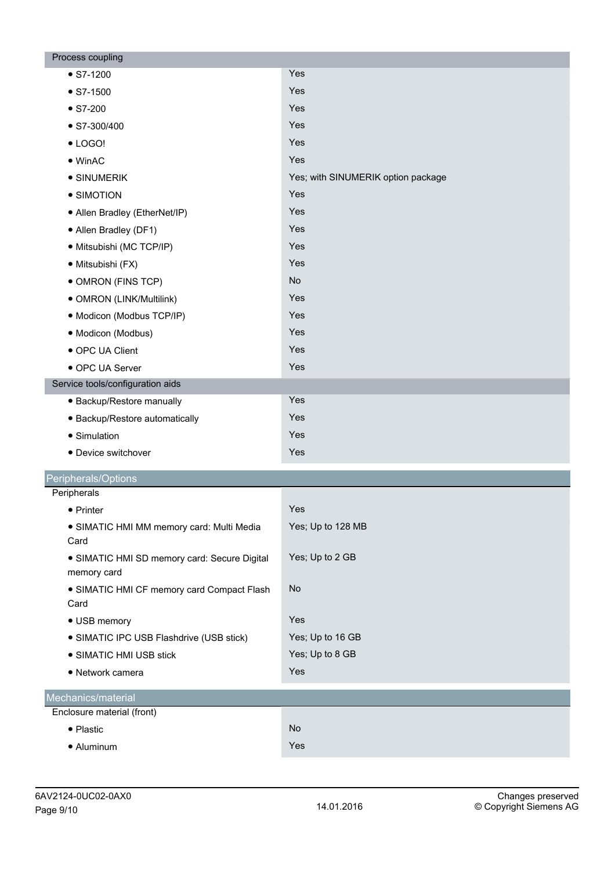| Process coupling                                            |                                    |
|-------------------------------------------------------------|------------------------------------|
| $\bullet$ S7-1200                                           | Yes                                |
| $\bullet$ S7-1500                                           | Yes                                |
| $\bullet$ S7-200                                            | Yes                                |
| $\bullet$ S7-300/400                                        | Yes                                |
| $\bullet$ LOGO!                                             | Yes                                |
| $\bullet$ WinAC                                             | Yes                                |
| • SINUMERIK                                                 | Yes; with SINUMERIK option package |
| • SIMOTION                                                  | Yes                                |
| • Allen Bradley (EtherNet/IP)                               | Yes                                |
| • Allen Bradley (DF1)                                       | Yes                                |
| · Mitsubishi (MC TCP/IP)                                    | Yes                                |
| · Mitsubishi (FX)                                           | Yes                                |
| • OMRON (FINS TCP)                                          | <b>No</b>                          |
| · OMRON (LINK/Multilink)                                    | Yes                                |
| · Modicon (Modbus TCP/IP)                                   | Yes                                |
| · Modicon (Modbus)                                          | Yes                                |
| • OPC UA Client                                             | Yes                                |
| • OPC UA Server                                             | Yes                                |
| Service tools/configuration aids                            |                                    |
| • Backup/Restore manually                                   | Yes                                |
| • Backup/Restore automatically                              | Yes                                |
| • Simulation                                                | Yes                                |
| • Device switchover                                         | Yes                                |
| Peripherals/Options                                         |                                    |
| Peripherals                                                 |                                    |
| • Printer                                                   | Yes                                |
| · SIMATIC HMI MM memory card: Multi Media                   | Yes; Up to 128 MB                  |
| Card                                                        |                                    |
| • SIMATIC HMI SD memory card: Secure Digital<br>memory card | Yes; Up to 2 GB                    |
| • SIMATIC HMI CF memory card Compact Flash<br>Card          | <b>No</b>                          |
| • USB memory                                                | Yes                                |
| • SIMATIC IPC USB Flashdrive (USB stick)                    | Yes; Up to 16 GB                   |
| • SIMATIC HMI USB stick                                     | Yes; Up to 8 GB                    |
| • Network camera                                            | Yes                                |
| Mechanics/material                                          |                                    |
| Enclosure material (front)                                  |                                    |
| • Plastic                                                   | No                                 |
| • Aluminum                                                  | Yes                                |